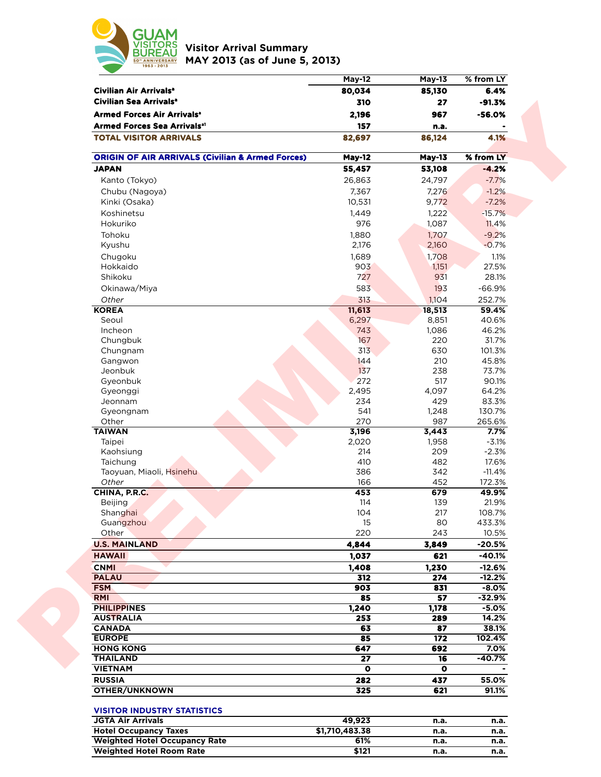

**Visitor Arrival Summary MAY 2013 (as of June 5, 2013)** 

|                                                             | <b>May-12</b>  | <b>May-13</b> | % from LY         |  |
|-------------------------------------------------------------|----------------|---------------|-------------------|--|
| Civilian Air Arrivals <sup>a</sup>                          | 80,034         | 85,130        | 6.4%              |  |
| Civilian Sea Arrivals <sup>a</sup>                          | 310            | 27            | $-91.3%$          |  |
| Armed Forces Air Arrivals <sup>®</sup>                      | 2,196          | 967           | $-56.0%$          |  |
| <b>Armed Forces Sea Arrivalsal</b>                          | 157            | n.a.          |                   |  |
| <b>TOTAL VISITOR ARRIVALS</b>                               | 82,697         | 86,124        | 4.1%              |  |
| <b>ORIGIN OF AIR ARRIVALS (Civilian &amp; Armed Forces)</b> | <b>May-12</b>  | <b>May-13</b> | % from LY         |  |
| <b>JAPAN</b>                                                | 55,457         | 53,108        | $-4.2%$           |  |
| Kanto (Tokyo)                                               | 26,863         | 24,797        | $-7.7%$           |  |
| Chubu (Nagoya)                                              | 7,367          | 7,276         | $-1.2%$           |  |
| Kinki (Osaka)                                               | 10,531         | 9,772         | $-7.2%$           |  |
| Koshinetsu                                                  | 1,449          | 1,222         | $-15.7%$          |  |
| Hokuriko                                                    | 976            | 1,087         | 11.4%             |  |
| Tohoku                                                      | 1,880          | 1,707         | $-9.2%$           |  |
| Kyushu                                                      | 2,176          | 2,160         | $-0.7%$           |  |
| Chugoku                                                     | 1,689          | 1,708         | 1.1%              |  |
| Hokkaido                                                    | 903            | 1,151         | 27.5%             |  |
| Shikoku                                                     | 727            | 931           | 28.1%             |  |
| Okinawa/Miya                                                | 583            | 193           | $-66.9%$          |  |
| Other                                                       | 313            | 1,104         | 252.7%            |  |
| <b>KOREA</b>                                                | 11,613         | 18,513        | 59.4%             |  |
| Seoul                                                       | 6,297          | 8,851         | 40.6%             |  |
| Incheon                                                     | 743            | 1,086         | 46.2%             |  |
| Chungbuk                                                    | 167            | 220           | 31.7%             |  |
| Chungnam                                                    | 313            | 630           | 101.3%            |  |
| Gangwon                                                     | 144            | 210           | 45.8%             |  |
| Jeonbuk                                                     | 137            | 238           | 73.7%             |  |
| Gyeonbuk                                                    | 272            | 517           | 90.1%             |  |
| Gyeonggi                                                    | 2,495          | 4,097         | 64.2%             |  |
| Jeonnam                                                     | 234            | 429           | 83.3%             |  |
| Gyeongnam                                                   | 541            | 1,248         | 130.7%            |  |
| Other                                                       | 270            | 987           | 265.6%            |  |
| <b>TAIWAN</b>                                               | 3,196          | 3,443         | 7.7%              |  |
| Taipei                                                      | 2,020          | 1,958         | $-3.1%$           |  |
| Kaohsiung                                                   | 214            | 209           | $-2.3%$           |  |
| Taichung<br>Taoyuan, Miaoli, Hsinehu                        | 410<br>386     | 482<br>342    | 17.6%<br>$-11.4%$ |  |
| Other                                                       | 166            | 452           | 172.3%            |  |
| CHINA, P.R.C.                                               | 453            | 679           | 49.9%             |  |
| Beijing                                                     | 114            | 139           | 21.9%             |  |
| Shanghai                                                    | 104            | 217           | 108.7%            |  |
| Guangzhou                                                   | 15             | 80            | 433.3%            |  |
| Other                                                       | 220            | 243           | 10.5%             |  |
| <b>U.S. MAINLAND</b>                                        | 4,844          | 3,849         | -20.5%            |  |
| <b>HAWAII</b>                                               | 1,037          | 621           | -40.1%            |  |
| <b>CNMI</b>                                                 | 1,408          | 1,230         | $-12.6%$          |  |
| <b>PALAU</b>                                                | 312            | 274           | $-12.2%$          |  |
| <b>FSM</b>                                                  | 903            | 831           | $-8.0%$           |  |
| <b>RMI</b>                                                  | 85             | 57            | $-32.9%$          |  |
| <b>PHILIPPINES</b>                                          | 1,240          | 1,178         | $-5.0%$           |  |
| <b>AUSTRALIA</b>                                            | 253            | 289           | 14.2%             |  |
| <b>CANADA</b>                                               | 63             | 87            | 38.1%             |  |
| <b>EUROPE</b>                                               | 85             | 172           | 102.4%            |  |
| <b>HONG KONG</b>                                            | 647            | 692           | $7.0\%$           |  |
| <b>THAILAND</b>                                             | 27             | 16            | -40.7%            |  |
| <b>VIETNAM</b>                                              | $\bullet$      | $\bullet$     |                   |  |
| <b>RUSSIA</b>                                               | 282            | 437           | 55.0%             |  |
| <b>OTHER/UNKNOWN</b>                                        | 325            | 621           | 91.1%             |  |
| <b>VISITOR INDUSTRY STATISTICS</b>                          |                |               |                   |  |
| <b>JGTA Air Arrivals</b>                                    | 49,923         | n.a.          | n.a.              |  |
| <b>Hotel Occupancy Taxes</b>                                | \$1,710,483.38 | n.a.          | n.a.              |  |
| <b>Weighted Hotel Occupancy Rate</b>                        | 61%            | n.a.          | n.a.              |  |
| <b>Weighted Hotel Room Rate</b>                             | \$121          | n.a.          | n.a.              |  |